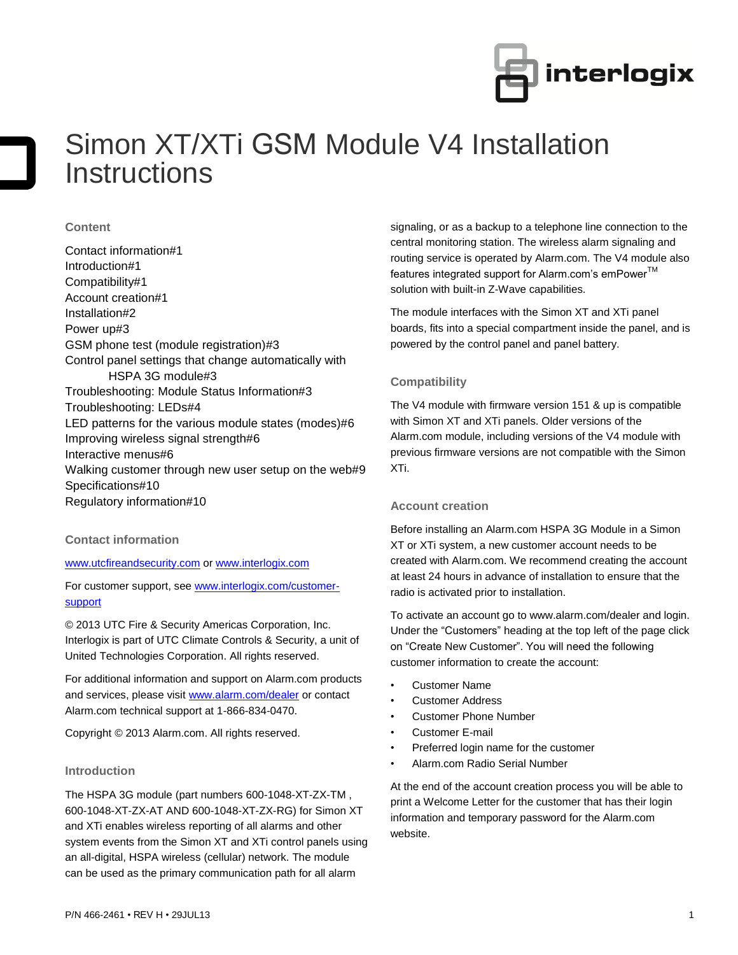

# Simon XT/XTi GSM Module V4 Installation **Instructions**

# **Content**

Contact information#1 Introduction#1 Compatibility#1 Account creation#1 Installation#2 Power up#3 GSM phone test (module registration)#3 Control panel settings that change automatically with HSPA 3G module#3 Troubleshooting: Module Status Information#3 Troubleshooting: LEDs#4 LED patterns for the various module states (modes)#6 Improving wireless signal strength#6 Interactive menus#6 Walking customer through new user setup on the web#9 Specifications#10 Regulatory information#10

# **Contact information**

[www.utcfireandsecurity.com](http://www.utcfireandsecurity.com/) or [www.interlogix.com](http://www.interlogix.com/)

For customer support, se[e www.interlogix.com/customer](http://www.interlogix.com/customer-support)[support](http://www.interlogix.com/customer-support) 

© 2013 UTC Fire & Security Americas Corporation, Inc. Interlogix is part of UTC Climate Controls & Security, a unit of United Technologies Corporation. All rights reserved.

For additional information and support on Alarm.com products and services, please visi[t www.alarm.com/dealer](http://www.alarm.com/dealer) or contact Alarm.com technical support at 1-866-834-0470.

Copyright © 2013 Alarm.com. All rights reserved.

# **Introduction**

The HSPA 3G module (part numbers 600-1048-XT-ZX-TM , 600-1048-XT-ZX-AT AND 600-1048-XT-ZX-RG) for Simon XT and XTi enables wireless reporting of all alarms and other system events from the Simon XT and XTi control panels using an all-digital, HSPA wireless (cellular) network. The module can be used as the primary communication path for all alarm

signaling, or as a backup to a telephone line connection to the central monitoring station. The wireless alarm signaling and routing service is operated by Alarm.com. The V4 module also features integrated support for Alarm.com's emPower™ solution with built-in Z-Wave capabilities.

The module interfaces with the Simon XT and XTi panel boards, fits into a special compartment inside the panel, and is powered by the control panel and panel battery.

# **Compatibility**

The V4 module with firmware version 151 & up is compatible with Simon XT and XTi panels. Older versions of the Alarm.com module, including versions of the V4 module with previous firmware versions are not compatible with the Simon XTi.

#### **Account creation**

Before installing an Alarm.com HSPA 3G Module in a Simon XT or XTi system, a new customer account needs to be created with Alarm.com. We recommend creating the account at least 24 hours in advance of installation to ensure that the radio is activated prior to installation.

To activate an account go to www.alarm.com/dealer and login. Under the "Customers" heading at the top left of the page click on "Create New Customer". You will need the following customer information to create the account:

- Customer Name
- Customer Address
- Customer Phone Number
- Customer E-mail
- Preferred login name for the customer
- Alarm.com Radio Serial Number

At the end of the account creation process you will be able to print a Welcome Letter for the customer that has their login information and temporary password for the Alarm.com website.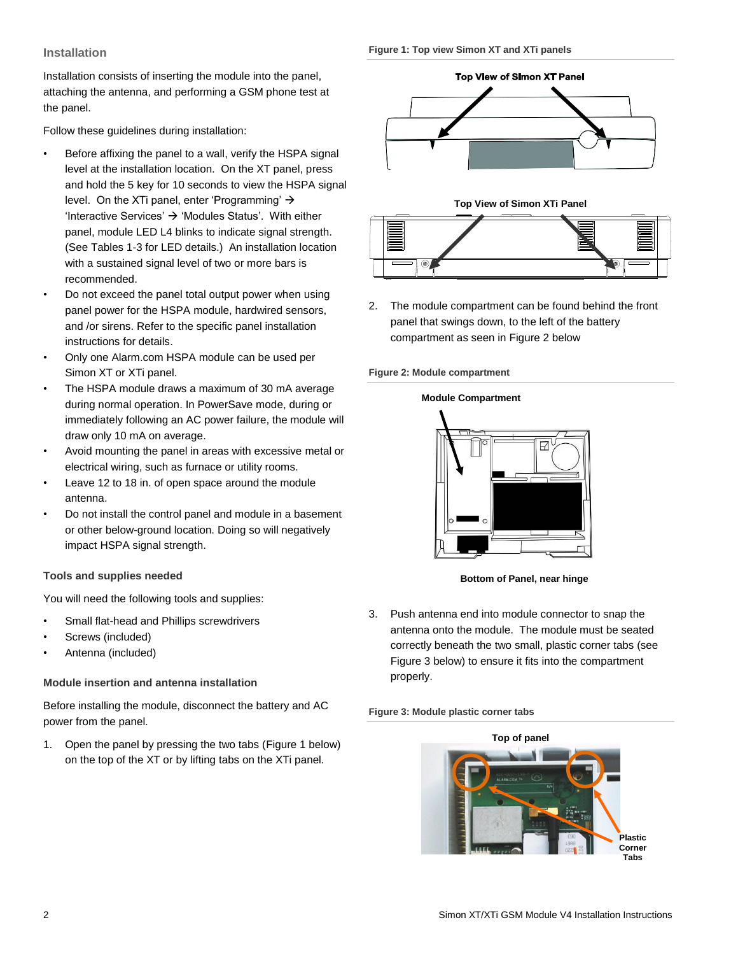# **Installation**

Installation consists of inserting the module into the panel, attaching the antenna, and performing a GSM phone test at the panel.

Follow these guidelines during installation:

- Before affixing the panel to a wall, verify the HSPA signal level at the installation location. On the XT panel, press and hold the 5 key for 10 seconds to view the HSPA signal level. On the XTi panel, enter 'Programming'  $\rightarrow$ 'Interactive Services'  $\rightarrow$  'Modules Status'. With either panel, module LED L4 blinks to indicate signal strength. (See Tables 1-3 for LED details.) An installation location with a sustained signal level of two or more bars is recommended.
- Do not exceed the panel total output power when using panel power for the HSPA module, hardwired sensors, and /or sirens. Refer to the specific panel installation instructions for details.
- Only one Alarm.com HSPA module can be used per Simon XT or XTi panel.
- The HSPA module draws a maximum of 30 mA average during normal operation. In PowerSave mode, during or immediately following an AC power failure, the module will draw only 10 mA on average.
- Avoid mounting the panel in areas with excessive metal or electrical wiring, such as furnace or utility rooms.
- Leave 12 to 18 in. of open space around the module antenna.
- Do not install the control panel and module in a basement or other below-ground location. Doing so will negatively impact HSPA signal strength.

# **Tools and supplies needed**

You will need the following tools and supplies:

- Small flat-head and Phillips screwdrivers
- Screws (included)
- Antenna (included)

# **Module insertion and antenna installation**

Before installing the module, disconnect the battery and AC power from the panel.

1. Open the panel by pressing the two tabs (Figure 1 below) on the top of the XT or by lifting tabs on the XTi panel.







2. The module compartment can be found behind the front panel that swings down, to the left of the battery compartment as seen in Figure 2 below

# **Figure 2: Module compartment**

# **Module Compartment**



**Bottom of Panel, near hinge**

3. Push antenna end into module connector to snap the antenna onto the module. The module must be seated correctly beneath the two small, plastic corner tabs (see Figure 3 below) to ensure it fits into the compartment properly.

#### **Figure 3: Module plastic corner tabs**

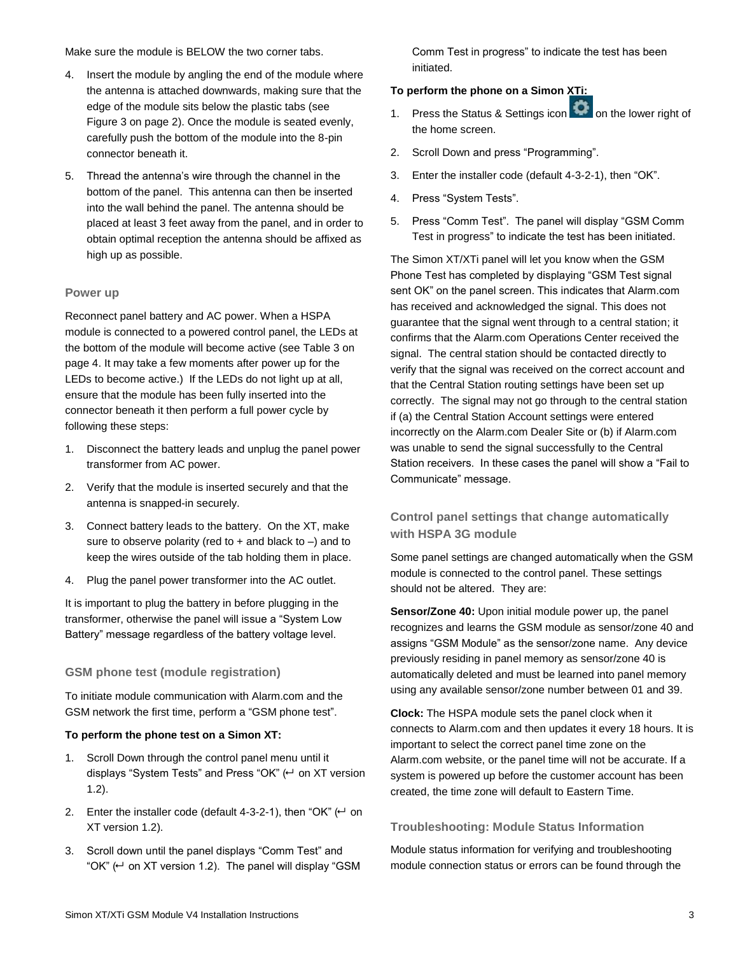Make sure the module is BELOW the two corner tabs.

- 4. Insert the module by angling the end of the module where the antenna is attached downwards, making sure that the edge of the module sits below the plastic tabs (see Figure 3 on page 2). Once the module is seated evenly, carefully push the bottom of the module into the 8-pin connector beneath it.
- 5. Thread the antenna's wire through the channel in the bottom of the panel. This antenna can then be inserted into the wall behind the panel. The antenna should be placed at least 3 feet away from the panel, and in order to obtain optimal reception the antenna should be affixed as high up as possible.

# **Power up**

Reconnect panel battery and AC power. When a HSPA module is connected to a powered control panel, the LEDs at the bottom of the module will become active (see Table 3 on page 4. It may take a few moments after power up for the LEDs to become active.) If the LEDs do not light up at all, ensure that the module has been fully inserted into the connector beneath it then perform a full power cycle by following these steps:

- 1. Disconnect the battery leads and unplug the panel power transformer from AC power.
- 2. Verify that the module is inserted securely and that the antenna is snapped-in securely.
- 3. Connect battery leads to the battery. On the XT, make sure to observe polarity (red to  $+$  and black to  $-$ ) and to keep the wires outside of the tab holding them in place.
- 4. Plug the panel power transformer into the AC outlet.

It is important to plug the battery in before plugging in the transformer, otherwise the panel will issue a "System Low Battery" message regardless of the battery voltage level.

# **GSM phone test (module registration)**

To initiate module communication with Alarm.com and the GSM network the first time, perform a "GSM phone test".

# **To perform the phone test on a Simon XT:**

- 1. Scroll Down through the control panel menu until it displays "System Tests" and Press "OK"  $\left(\leftarrow$  on XT version 1.2).
- 2. Enter the installer code (default 4-3-2-1), then "OK"  $($  $\leftarrow$  on XT version 1.2).
- 3. Scroll down until the panel displays "Comm Test" and "OK" ( $\leftrightarrow$  on XT version 1.2). The panel will display "GSM

Comm Test in progress" to indicate the test has been initiated.

# **To perform the phone on a Simon XTi:**

- 1. Press the Status & Settings icon **the lower right of** the home screen.
- 2. Scroll Down and press "Programming".
- 3. Enter the installer code (default 4-3-2-1), then "OK".
- 4. Press "System Tests".
- 5. Press "Comm Test". The panel will display "GSM Comm Test in progress" to indicate the test has been initiated.

The Simon XT/XTi panel will let you know when the GSM Phone Test has completed by displaying "GSM Test signal sent OK" on the panel screen. This indicates that Alarm.com has received and acknowledged the signal. This does not guarantee that the signal went through to a central station; it confirms that the Alarm.com Operations Center received the signal. The central station should be contacted directly to verify that the signal was received on the correct account and that the Central Station routing settings have been set up correctly. The signal may not go through to the central station if (a) the Central Station Account settings were entered incorrectly on the Alarm.com Dealer Site or (b) if Alarm.com was unable to send the signal successfully to the Central Station receivers. In these cases the panel will show a "Fail to Communicate" message.

# **Control panel settings that change automatically with HSPA 3G module**

Some panel settings are changed automatically when the GSM module is connected to the control panel. These settings should not be altered. They are:

**Sensor/Zone 40:** Upon initial module power up, the panel recognizes and learns the GSM module as sensor/zone 40 and assigns "GSM Module" as the sensor/zone name. Any device previously residing in panel memory as sensor/zone 40 is automatically deleted and must be learned into panel memory using any available sensor/zone number between 01 and 39.

**Clock:** The HSPA module sets the panel clock when it connects to Alarm.com and then updates it every 18 hours. It is important to select the correct panel time zone on the Alarm.com website, or the panel time will not be accurate. If a system is powered up before the customer account has been created, the time zone will default to Eastern Time.

# **Troubleshooting: Module Status Information**

Module status information for verifying and troubleshooting module connection status or errors can be found through the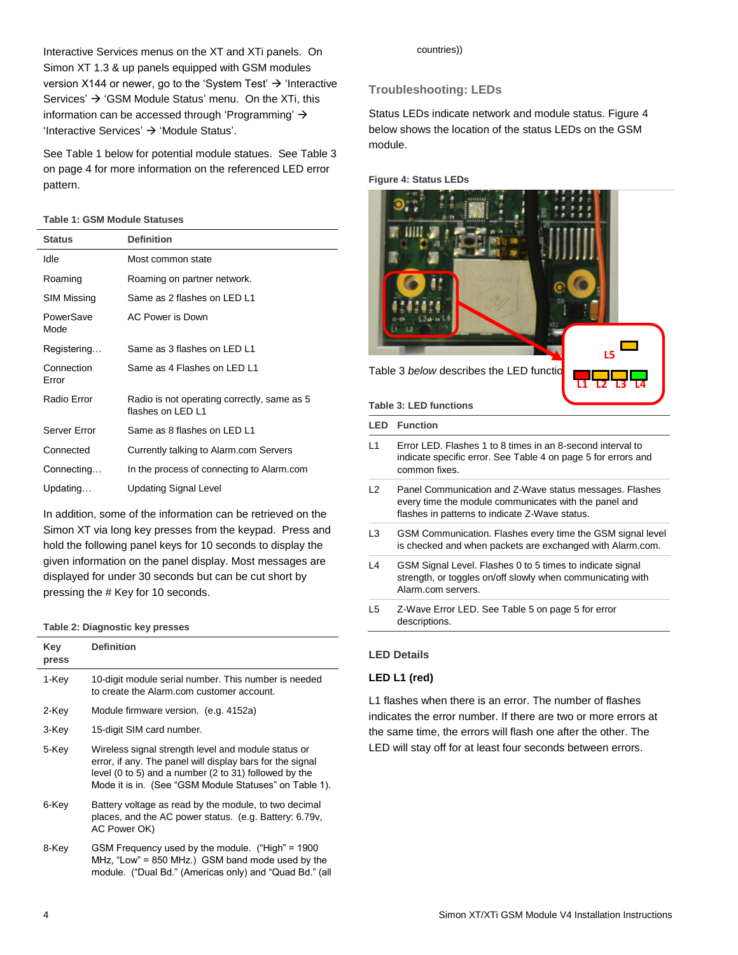Interactive Services menus on the XT and XTi panels. On Simon XT 1.3 & up panels equipped with GSM modules version X144 or newer, go to the 'System Test'  $\rightarrow$  'Interactive Services'  $\rightarrow$  'GSM Module Status' menu. On the XTi, this information can be accessed through 'Programming'  $\rightarrow$ 'Interactive Services'  $\rightarrow$  'Module Status'.

See Table 1 below for potential module statues. See Table 3 on page 4 for more information on the referenced LED error pattern.

## **Table 1: GSM Module Statuses**

| <b>Status</b>       | <b>Definition</b>                                                |
|---------------------|------------------------------------------------------------------|
| Idle                | Most common state                                                |
| Roaming             | Roaming on partner network.                                      |
| SIM Missing         | Same as 2 flashes on LED L1                                      |
| PowerSave<br>Mode   | AC Power is Down                                                 |
| Registering         | Same as 3 flashes on LED L1                                      |
| Connection<br>Error | Same as 4 Flashes on LED L1                                      |
| Radio Error         | Radio is not operating correctly, same as 5<br>flashes on LED L1 |
| Server Frror        | Same as 8 flashes on LED L1                                      |
| Connected           | Currently talking to Alarm.com Servers                           |
| Connecting          | In the process of connecting to Alarm.com                        |
| Updating            | Updating Signal Level                                            |

In addition, some of the information can be retrieved on the Simon XT via long key presses from the keypad. Press and hold the following panel keys for 10 seconds to display the given information on the panel display. Most messages are displayed for under 30 seconds but can be cut short by pressing the # Key for 10 seconds.

#### **Table 2: Diagnostic key presses**

| Key<br>press | <b>Definition</b>                                                                                                                                                                                                                   |
|--------------|-------------------------------------------------------------------------------------------------------------------------------------------------------------------------------------------------------------------------------------|
| 1-Key        | 10-digit module serial number. This number is needed<br>to create the Alarm.com customer account.                                                                                                                                   |
| 2-Key        | Module firmware version. (e.g. 4152a)                                                                                                                                                                                               |
| 3-Key        | 15-digit SIM card number.                                                                                                                                                                                                           |
| 5-Key        | Wireless signal strength level and module status or<br>error, if any. The panel will display bars for the signal<br>level (0 to 5) and a number (2 to 31) followed by the<br>Mode it is in. (See "GSM Module Statuses" on Table 1). |
| 6-Key        | Battery voltage as read by the module, to two decimal<br>places, and the AC power status. (e.g. Battery: 6.79v,<br>AC Power OK)                                                                                                     |
| 8-Key        | GSM Frequency used by the module. ("High" = 1900<br>MHz, "Low" = 850 MHz.) GSM band mode used by the<br>module. ("Dual Bd." (Americas only) and "Quad Bd." (all                                                                     |

#### countries))

# **Troubleshooting: LEDs**

Status LEDs indicate network and module status. Figure 4 below shows the location of the status LEDs on the GSM module.

**Figure 4: Status LEDs**



- L1 Error LED. Flashes 1 to 8 times in an 8-second interval to indicate specific error. See Table 4 on page 5 for errors and common fixes.
- L2 Panel Communication and Z-Wave status messages. Flashes every time the module communicates with the panel and flashes in patterns to indicate Z-Wave status.
- L3 GSM Communication. Flashes every time the GSM signal level is checked and when packets are exchanged with Alarm.com.
- L4 GSM Signal Level. Flashes 0 to 5 times to indicate signal strength, or toggles on/off slowly when communicating with Alarm.com servers.
- L5 Z-Wave Error LED. See Table 5 on page 5 for error descriptions.

# **LED Details**

# **LED L1 (red)**

L1 flashes when there is an error. The number of flashes indicates the error number. If there are two or more errors at the same time, the errors will flash one after the other. The LED will stay off for at least four seconds between errors.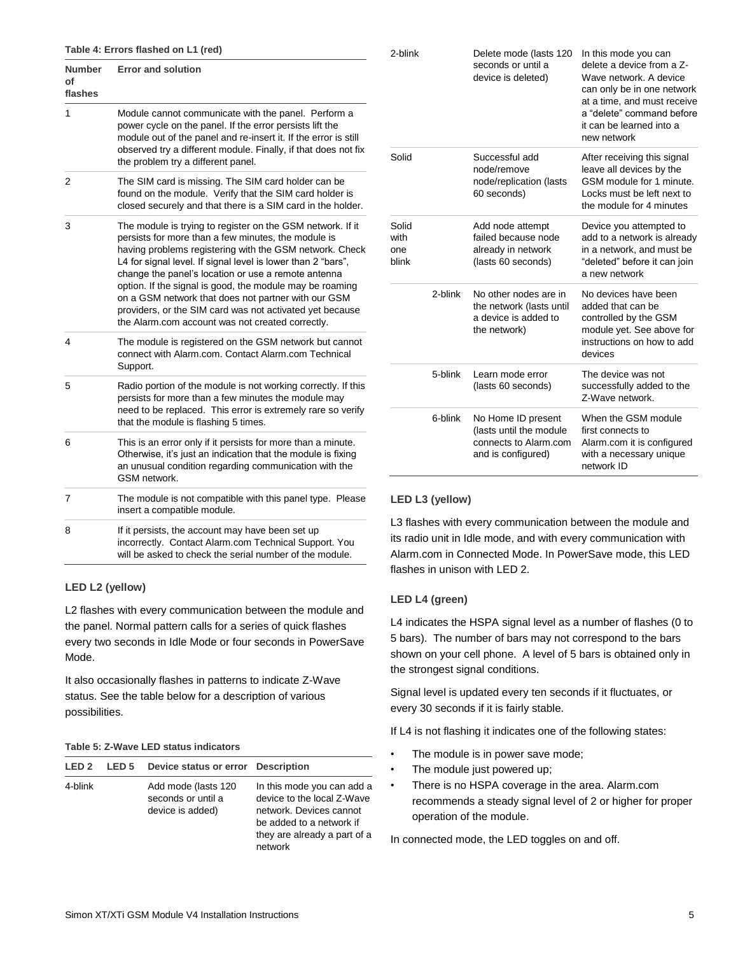| <b>Number</b><br>οf<br>flashes | <b>Error and solution</b>                                                                                                                                                                                                                                                                                                                                                                                                                                                                                                              |
|--------------------------------|----------------------------------------------------------------------------------------------------------------------------------------------------------------------------------------------------------------------------------------------------------------------------------------------------------------------------------------------------------------------------------------------------------------------------------------------------------------------------------------------------------------------------------------|
| 1                              | Module cannot communicate with the panel. Perform a<br>power cycle on the panel. If the error persists lift the<br>module out of the panel and re-insert it. If the error is still<br>observed try a different module. Finally, if that does not fix<br>the problem try a different panel.                                                                                                                                                                                                                                             |
| 2                              | The SIM card is missing. The SIM card holder can be<br>found on the module. Verify that the SIM card holder is<br>closed securely and that there is a SIM card in the holder.                                                                                                                                                                                                                                                                                                                                                          |
| 3                              | The module is trying to register on the GSM network. If it<br>persists for more than a few minutes, the module is<br>having problems registering with the GSM network. Check<br>L4 for signal level. If signal level is lower than 2 "bars",<br>change the panel's location or use a remote antenna<br>option. If the signal is good, the module may be roaming<br>on a GSM network that does not partner with our GSM<br>providers, or the SIM card was not activated yet because<br>the Alarm.com account was not created correctly. |
| 4                              | The module is registered on the GSM network but cannot<br>connect with Alarm.com. Contact Alarm.com Technical<br>Support.                                                                                                                                                                                                                                                                                                                                                                                                              |
| 5                              | Radio portion of the module is not working correctly. If this<br>persists for more than a few minutes the module may<br>need to be replaced. This error is extremely rare so verify<br>that the module is flashing 5 times.                                                                                                                                                                                                                                                                                                            |
| 6                              | This is an error only if it persists for more than a minute.<br>Otherwise, it's just an indication that the module is fixing<br>an unusual condition regarding communication with the<br>GSM network.                                                                                                                                                                                                                                                                                                                                  |
| 7                              | The module is not compatible with this panel type. Please<br>insert a compatible module.                                                                                                                                                                                                                                                                                                                                                                                                                                               |
| 8                              | If it persists, the account may have been set up<br>incorrectly. Contact Alarm.com Technical Support. You<br>will be asked to check the serial number of the module.                                                                                                                                                                                                                                                                                                                                                                   |

# **LED L2 (yellow)**

L2 flashes with every communication between the module and the panel. Normal pattern calls for a series of quick flashes every two seconds in Idle Mode or four seconds in PowerSave Mode.

It also occasionally flashes in patterns to indicate Z-Wave status. See the table below for a description of various possibilities.

# **Table 5: Z-Wave LED status indicators**

| LED <sub>2</sub> | LED <sub>5</sub> | Device status or error Description                            |                                                                                                                                                            |
|------------------|------------------|---------------------------------------------------------------|------------------------------------------------------------------------------------------------------------------------------------------------------------|
| 4-blink          |                  | Add mode (lasts 120<br>seconds or until a<br>device is added) | In this mode you can add a<br>device to the local Z-Wave<br>network. Devices cannot<br>be added to a network if<br>they are already a part of a<br>network |

| 2-blink                       |         | Delete mode (lasts 120<br>seconds or until a<br>device is deleted)                           | In this mode you can<br>delete a device from a Z-<br>Wave network, A device<br>can only be in one network<br>at a time, and must receive<br>a "delete" command before<br>it can be learned into a<br>new network |
|-------------------------------|---------|----------------------------------------------------------------------------------------------|------------------------------------------------------------------------------------------------------------------------------------------------------------------------------------------------------------------|
| Solid                         |         | Successful add<br>node/remove<br>node/replication (lasts<br>60 seconds)                      | After receiving this signal<br>leave all devices by the<br>GSM module for 1 minute.<br>Locks must be left next to<br>the module for 4 minutes                                                                    |
| Solid<br>with<br>one<br>blink |         | Add node attempt<br>failed because node<br>already in network<br>(lasts 60 seconds)          | Device you attempted to<br>add to a network is already<br>in a network, and must be<br>"deleted" before it can join<br>a new network                                                                             |
|                               | 2-blink | No other nodes are in<br>the network (lasts until<br>a device is added to<br>the network)    | No devices have been<br>added that can be<br>controlled by the GSM<br>module yet. See above for<br>instructions on how to add<br>devices                                                                         |
|                               | 5-blink | Learn mode error<br>(lasts 60 seconds)                                                       | The device was not<br>successfully added to the<br>Z-Wave network.                                                                                                                                               |
|                               | 6-blink | No Home ID present<br>(lasts until the module<br>connects to Alarm.com<br>and is configured) | When the GSM module<br>first connects to<br>Alarm.com it is configured<br>with a necessary unique<br>network ID                                                                                                  |

# **LED L3 (yellow)**

L3 flashes with every communication between the module and its radio unit in Idle mode, and with every communication with Alarm.com in Connected Mode. In PowerSave mode, this LED flashes in unison with LED 2.

# **LED L4 (green)**

L4 indicates the HSPA signal level as a number of flashes (0 to 5 bars). The number of bars may not correspond to the bars shown on your cell phone. A level of 5 bars is obtained only in the strongest signal conditions.

Signal level is updated every ten seconds if it fluctuates, or every 30 seconds if it is fairly stable.

If L4 is not flashing it indicates one of the following states:

- The module is in power save mode;
- The module just powered up;
- There is no HSPA coverage in the area. Alarm.com recommends a steady signal level of 2 or higher for proper operation of the module.

In connected mode, the LED toggles on and off.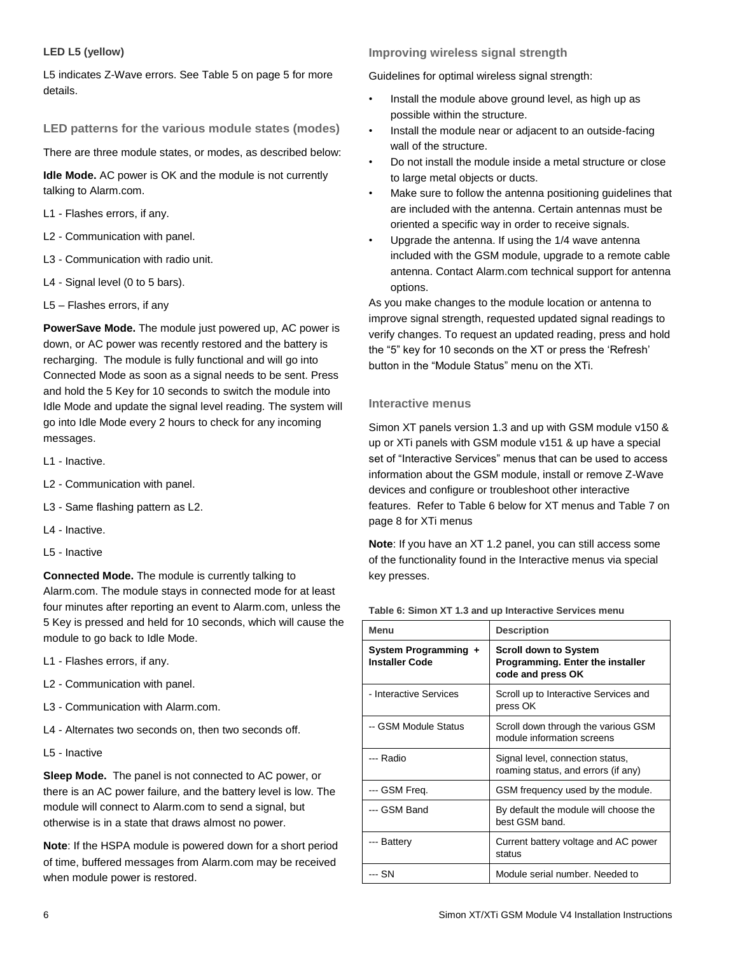# **LED L5 (yellow)**

L5 indicates Z-Wave errors. See Table 5 on page 5 for more details.

# **LED patterns for the various module states (modes)**

There are three module states, or modes, as described below:

**Idle Mode.** AC power is OK and the module is not currently talking to Alarm.com.

- L1 Flashes errors, if any.
- L2 Communication with panel.
- L3 Communication with radio unit.
- L4 Signal level (0 to 5 bars).
- L5 Flashes errors, if any

**PowerSave Mode.** The module just powered up, AC power is down, or AC power was recently restored and the battery is recharging. The module is fully functional and will go into Connected Mode as soon as a signal needs to be sent. Press and hold the 5 Key for 10 seconds to switch the module into Idle Mode and update the signal level reading. The system will go into Idle Mode every 2 hours to check for any incoming messages.

- L1 Inactive.
- L2 Communication with panel.
- L3 Same flashing pattern as L2.
- L4 Inactive.
- L5 Inactive

**Connected Mode.** The module is currently talking to Alarm.com. The module stays in connected mode for at least four minutes after reporting an event to Alarm.com, unless the 5 Key is pressed and held for 10 seconds, which will cause the module to go back to Idle Mode.

- L1 Flashes errors, if any.
- L2 Communication with panel.
- L3 Communication with Alarm.com.
- L4 Alternates two seconds on, then two seconds off.
- L5 Inactive

**Sleep Mode.** The panel is not connected to AC power, or there is an AC power failure, and the battery level is low. The module will connect to Alarm.com to send a signal, but otherwise is in a state that draws almost no power.

**Note**: If the HSPA module is powered down for a short period of time, buffered messages from Alarm.com may be received when module power is restored.

# **Improving wireless signal strength**

Guidelines for optimal wireless signal strength:

- Install the module above ground level, as high up as possible within the structure.
- Install the module near or adjacent to an outside-facing wall of the structure.
- Do not install the module inside a metal structure or close to large metal objects or ducts.
- Make sure to follow the antenna positioning guidelines that are included with the antenna. Certain antennas must be oriented a specific way in order to receive signals.
- Upgrade the antenna. If using the 1/4 wave antenna included with the GSM module, upgrade to a remote cable antenna. Contact Alarm.com technical support for antenna options.

As you make changes to the module location or antenna to improve signal strength, requested updated signal readings to verify changes. To request an updated reading, press and hold the "5" key for 10 seconds on the XT or press the 'Refresh' button in the "Module Status" menu on the XTi.

# **Interactive menus**

Simon XT panels version 1.3 and up with GSM module v150 & up or XTi panels with GSM module v151 & up have a special set of "Interactive Services" menus that can be used to access information about the GSM module, install or remove Z-Wave devices and configure or troubleshoot other interactive features. Refer to Table 6 below for XT menus and Table 7 on page 8 for XTi menus

**Note**: If you have an XT 1.2 panel, you can still access some of the functionality found in the Interactive menus via special key presses.

#### **Table 6: Simon XT 1.3 and up Interactive Services menu**

| Menu                                          | <b>Description</b>                                                                    |
|-----------------------------------------------|---------------------------------------------------------------------------------------|
| System Programming +<br><b>Installer Code</b> | <b>Scroll down to System</b><br>Programming. Enter the installer<br>code and press OK |
| - Interactive Services                        | Scroll up to Interactive Services and<br>press OK                                     |
| -- GSM Module Status                          | Scroll down through the various GSM<br>module information screens                     |
| --- Radio                                     | Signal level, connection status,<br>roaming status, and errors (if any)               |
| --- GSM Freq.                                 | GSM frequency used by the module.                                                     |
| --- GSM Band                                  | By default the module will choose the<br>best GSM band.                               |
| --- Battery                                   | Current battery voltage and AC power<br>status                                        |
| --- SN                                        | Module serial number. Needed to                                                       |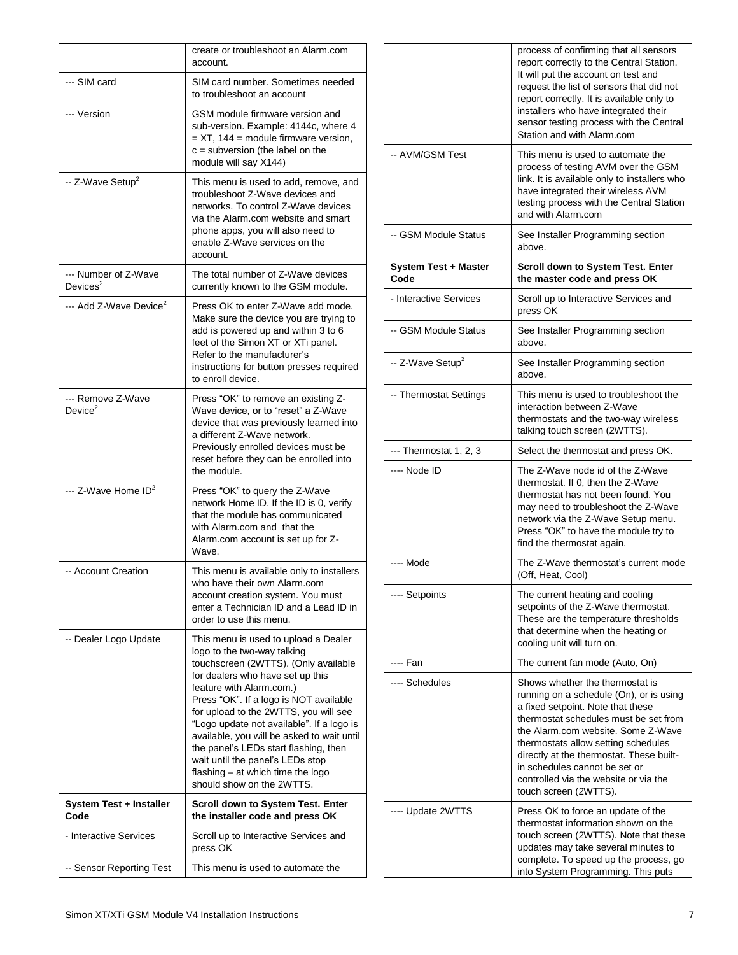|                                     | create or troubleshoot an Alarm.com<br>account.                                                                                                                                                                                                                                                                                                                                                                                                                                                          |
|-------------------------------------|----------------------------------------------------------------------------------------------------------------------------------------------------------------------------------------------------------------------------------------------------------------------------------------------------------------------------------------------------------------------------------------------------------------------------------------------------------------------------------------------------------|
| --- SIM card                        | SIM card number. Sometimes needed<br>to troubleshoot an account                                                                                                                                                                                                                                                                                                                                                                                                                                          |
| --- Version                         | GSM module firmware version and<br>sub-version. Example: 4144c, where 4<br>$= XT$ , 144 = module firmware version,<br>$c =$ subversion (the label on the<br>module will say X144)                                                                                                                                                                                                                                                                                                                        |
| -- Z-Wave Setup <sup>2</sup>        | This menu is used to add, remove, and<br>troubleshoot Z-Wave devices and<br>networks. To control Z-Wave devices<br>via the Alarm.com website and smart<br>phone apps, you will also need to<br>enable Z-Wave services on the<br>account.                                                                                                                                                                                                                                                                 |
| --- Number of Z-Wave<br>Devices $2$ | The total number of Z-Wave devices<br>currently known to the GSM module.                                                                                                                                                                                                                                                                                                                                                                                                                                 |
| --- Add Z-Wave Device <sup>2</sup>  | Press OK to enter Z-Wave add mode.<br>Make sure the device you are trying to<br>add is powered up and within 3 to 6<br>feet of the Simon XT or XTi panel.<br>Refer to the manufacturer's<br>instructions for button presses required<br>to enroll device.                                                                                                                                                                                                                                                |
| --- Remove Z-Wave<br>Device $2$     | Press "OK" to remove an existing Z-<br>Wave device, or to "reset" a Z-Wave<br>device that was previously learned into<br>a different Z-Wave network.<br>Previously enrolled devices must be<br>reset before they can be enrolled into<br>the module.                                                                                                                                                                                                                                                     |
| --- Z-Wave Home ID <sup>2</sup>     | Press "OK" to query the Z-Wave<br>network Home ID. If the ID is 0, verify<br>that the module has communicated<br>with Alarm.com and that the<br>Alarm.com account is set up for Z-<br>Wave.                                                                                                                                                                                                                                                                                                              |
| -- Account Creation                 | This menu is available only to installers<br>who have their own Alarm.com<br>account creation system. You must<br>enter a Technician ID and a Lead ID in<br>order to use this menu.                                                                                                                                                                                                                                                                                                                      |
| -- Dealer Logo Update               | This menu is used to upload a Dealer<br>logo to the two-way talking<br>touchscreen (2WTTS). (Only available<br>for dealers who have set up this<br>feature with Alarm.com.)<br>Press "OK". If a logo is NOT available<br>for upload to the 2WTTS, you will see<br>"Logo update not available". If a logo is<br>available, you will be asked to wait until<br>the panel's LEDs start flashing, then<br>wait until the panel's LEDs stop<br>flashing – at which time the logo<br>should show on the 2WTTS. |
| System Test + Installer<br>Code     | <b>Scroll down to System Test. Enter</b><br>the installer code and press OK                                                                                                                                                                                                                                                                                                                                                                                                                              |
| - Interactive Services              | Scroll up to Interactive Services and<br>press OK                                                                                                                                                                                                                                                                                                                                                                                                                                                        |
| -- Sensor Reporting Test            | This menu is used to automate the                                                                                                                                                                                                                                                                                                                                                                                                                                                                        |

|                                     | process of confirming that all sensors<br>report correctly to the Central Station.<br>It will put the account on test and<br>request the list of sensors that did not<br>report correctly. It is available only to<br>installers who have integrated their<br>sensor testing process with the Central<br>Station and with Alarm.com                                                  |
|-------------------------------------|--------------------------------------------------------------------------------------------------------------------------------------------------------------------------------------------------------------------------------------------------------------------------------------------------------------------------------------------------------------------------------------|
| -- AVM/GSM Test                     | This menu is used to automate the<br>process of testing AVM over the GSM<br>link. It is available only to installers who<br>have integrated their wireless AVM<br>testing process with the Central Station<br>and with Alarm.com                                                                                                                                                     |
| -- GSM Module Status                | See Installer Programming section<br>above.                                                                                                                                                                                                                                                                                                                                          |
| <b>System Test + Master</b><br>Code | Scroll down to System Test. Enter<br>the master code and press OK                                                                                                                                                                                                                                                                                                                    |
| - Interactive Services              | Scroll up to Interactive Services and<br>press OK                                                                                                                                                                                                                                                                                                                                    |
| -- GSM Module Status                | See Installer Programming section<br>above.                                                                                                                                                                                                                                                                                                                                          |
| -- Z-Wave Setup <sup>2</sup>        | See Installer Programming section<br>above.                                                                                                                                                                                                                                                                                                                                          |
| -- Thermostat Settings              | This menu is used to troubleshoot the<br>interaction between Z-Wave<br>thermostats and the two-way wireless<br>talking touch screen (2WTTS).                                                                                                                                                                                                                                         |
| --- Thermostat 1, 2, 3              | Select the thermostat and press OK.                                                                                                                                                                                                                                                                                                                                                  |
| ---- Node ID                        | The Z-Wave node id of the Z-Wave<br>thermostat. If 0, then the Z-Wave<br>thermostat has not been found. You<br>may need to troubleshoot the Z-Wave<br>network via the Z-Wave Setup menu.<br>Press "OK" to have the module try to<br>find the thermostat again.                                                                                                                       |
| ---- Mode                           | The Z-Wave thermostat's current mode<br>(Off, Heat, Cool)                                                                                                                                                                                                                                                                                                                            |
| ---- Setpoints                      | The current heating and cooling<br>setpoints of the Z-Wave thermostat.<br>These are the temperature thresholds<br>that determine when the heating or<br>cooling unit will turn on.                                                                                                                                                                                                   |
| ---- Fan                            | The current fan mode (Auto, On)                                                                                                                                                                                                                                                                                                                                                      |
| ---- Schedules                      | Shows whether the thermostat is<br>running on a schedule (On), or is using<br>a fixed setpoint. Note that these<br>thermostat schedules must be set from<br>the Alarm.com website. Some Z-Wave<br>thermostats allow setting schedules<br>directly at the thermostat. These built-<br>in schedules cannot be set or<br>controlled via the website or via the<br>touch screen (2WTTS). |
| ---- Update 2WTTS                   | Press OK to force an update of the<br>thermostat information shown on the<br>touch screen (2WTTS). Note that these<br>updates may take several minutes to<br>complete. To speed up the process, go<br>into System Programming. This puts                                                                                                                                             |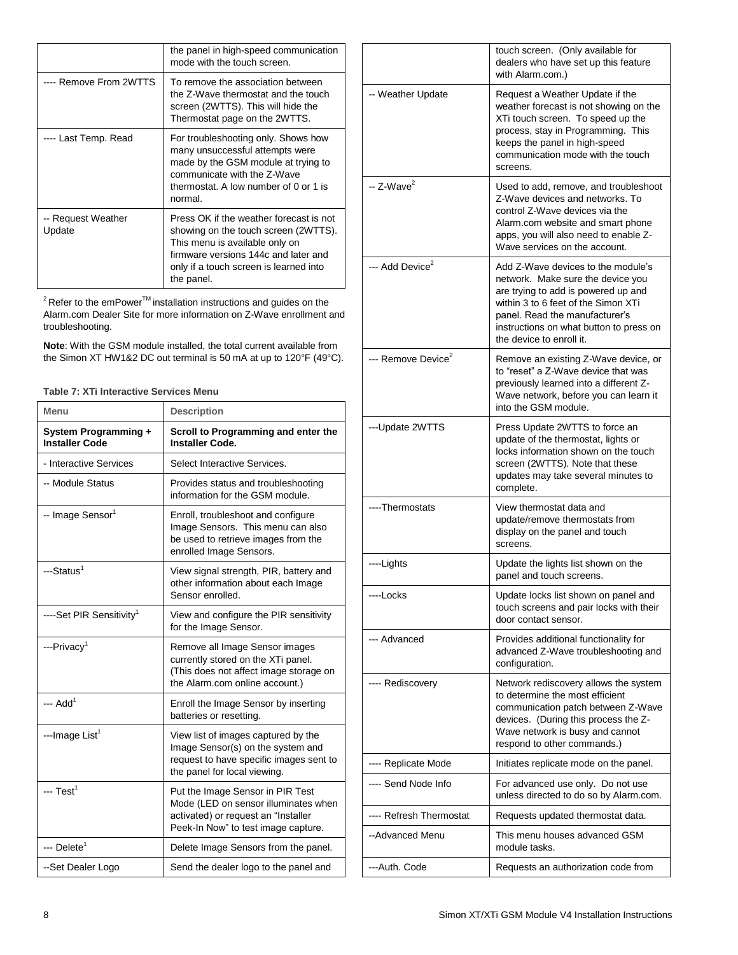|                              | the panel in high-speed communication<br>mode with the touch screen.                                                                                                                                              |
|------------------------------|-------------------------------------------------------------------------------------------------------------------------------------------------------------------------------------------------------------------|
| ---- Remove From 2WTTS       | To remove the association between<br>the Z-Wave thermostat and the touch<br>screen (2WTTS). This will hide the<br>Thermostat page on the 2WTTS.                                                                   |
| Last Temp. Read              | For troubleshooting only. Shows how<br>many unsuccessful attempts were<br>made by the GSM module at trying to<br>communicate with the Z-Wave<br>thermostat. A low number of 0 or 1 is<br>normal.                  |
| -- Request Weather<br>Update | Press OK if the weather forecast is not<br>showing on the touch screen (2WTTS).<br>This menu is available only on<br>firmware versions 144c and later and<br>only if a touch screen is learned into<br>the panel. |

 $2^2$ Refer to the emPower<sup>TM</sup> installation instructions and guides on the Alarm.com Dealer Site for more information on Z-Wave enrollment and troubleshooting.

**Note**: With the GSM module installed, the total current available from the Simon XT HW1&2 DC out terminal is 50 mA at up to 120°F (49°C).

## **Table 7: XTi Interactive Services Menu**

| Menu                                          | <b>Description</b>                                                                                                                                     |
|-----------------------------------------------|--------------------------------------------------------------------------------------------------------------------------------------------------------|
| System Programming +<br><b>Installer Code</b> | Scroll to Programming and enter the<br><b>Installer Code.</b>                                                                                          |
| - Interactive Services                        | Select Interactive Services.                                                                                                                           |
| -- Module Status                              | Provides status and troubleshooting<br>information for the GSM module.                                                                                 |
| -- Image Sensor <sup>1</sup>                  | Enroll, troubleshoot and configure<br>Image Sensors. This menu can also<br>be used to retrieve images from the<br>enrolled Image Sensors.              |
| ---Status <sup>1</sup>                        | View signal strength, PIR, battery and<br>other information about each Image<br>Sensor enrolled.                                                       |
| ----Set PIR Sensitivity <sup>1</sup>          | View and configure the PIR sensitivity<br>for the Image Sensor.                                                                                        |
| ---Privacy <sup>1</sup>                       | Remove all Image Sensor images<br>currently stored on the XTi panel.<br>(This does not affect image storage on<br>the Alarm.com online account.)       |
| --- $Add1$                                    | Enroll the Image Sensor by inserting<br>batteries or resetting.                                                                                        |
| ---Image List <sup>1</sup>                    | View list of images captured by the<br>Image Sensor(s) on the system and<br>request to have specific images sent to<br>the panel for local viewing.    |
| --- $Test1$                                   | Put the Image Sensor in PIR Test<br>Mode (LED on sensor illuminates when<br>activated) or request an "Installer<br>Peek-In Now" to test image capture. |
| --- Delete <sup>1</sup>                       | Delete Image Sensors from the panel.                                                                                                                   |
| --Set Dealer Logo                             | Send the dealer logo to the panel and                                                                                                                  |

|                                | touch screen. (Only available for<br>dealers who have set up this feature<br>with Alarm.com.)                                                                                                                                                                  |
|--------------------------------|----------------------------------------------------------------------------------------------------------------------------------------------------------------------------------------------------------------------------------------------------------------|
| -- Weather Update              | Request a Weather Update if the<br>weather forecast is not showing on the<br>XTi touch screen. To speed up the<br>process, stay in Programming. This<br>keeps the panel in high-speed<br>communication mode with the touch<br>screens.                         |
| $-$ Z-Wave $^2$                | Used to add, remove, and troubleshoot<br>Z-Wave devices and networks. To<br>control Z-Wave devices via the<br>Alarm.com website and smart phone<br>apps, you will also need to enable Z-<br>Wave services on the account.                                      |
| --- Add Device <sup>2</sup>    | Add Z-Wave devices to the module's<br>network. Make sure the device you<br>are trying to add is powered up and<br>within 3 to 6 feet of the Simon XTi<br>panel. Read the manufacturer's<br>instructions on what button to press on<br>the device to enroll it. |
| --- Remove Device <sup>2</sup> | Remove an existing Z-Wave device, or<br>to "reset" a Z-Wave device that was<br>previously learned into a different Z-<br>Wave network, before you can learn it<br>into the GSM module.                                                                         |
| --- Update 2WTTS               | Press Update 2WTTS to force an<br>update of the thermostat, lights or<br>locks information shown on the touch<br>screen (2WTTS). Note that these<br>updates may take several minutes to<br>complete.                                                           |
| ----Thermostats                | View thermostat data and<br>update/remove thermostats from<br>display on the panel and touch<br>screens.                                                                                                                                                       |
| ----Lights                     | Update the lights list shown on the<br>panel and touch screens.                                                                                                                                                                                                |
| ---Locks                       | Update locks list shown on panel and<br>touch screens and pair locks with their<br>door contact sensor.                                                                                                                                                        |
| --- Advanced                   | Provides additional functionality for<br>advanced Z-Wave troubleshooting and<br>configuration.                                                                                                                                                                 |
| ---- Rediscovery               | Network rediscovery allows the system<br>to determine the most efficient<br>communication patch between Z-Wave<br>devices. (During this process the Z-<br>Wave network is busy and cannot<br>respond to other commands.)                                       |
| ---- Replicate Mode            | Initiates replicate mode on the panel.                                                                                                                                                                                                                         |
| ---- Send Node Info            | For advanced use only. Do not use<br>unless directed to do so by Alarm.com.                                                                                                                                                                                    |
| ---- Refresh Thermostat        | Requests updated thermostat data.                                                                                                                                                                                                                              |
| --Advanced Menu                | This menu houses advanced GSM<br>module tasks.                                                                                                                                                                                                                 |
| --- Auth. Code                 | Requests an authorization code from                                                                                                                                                                                                                            |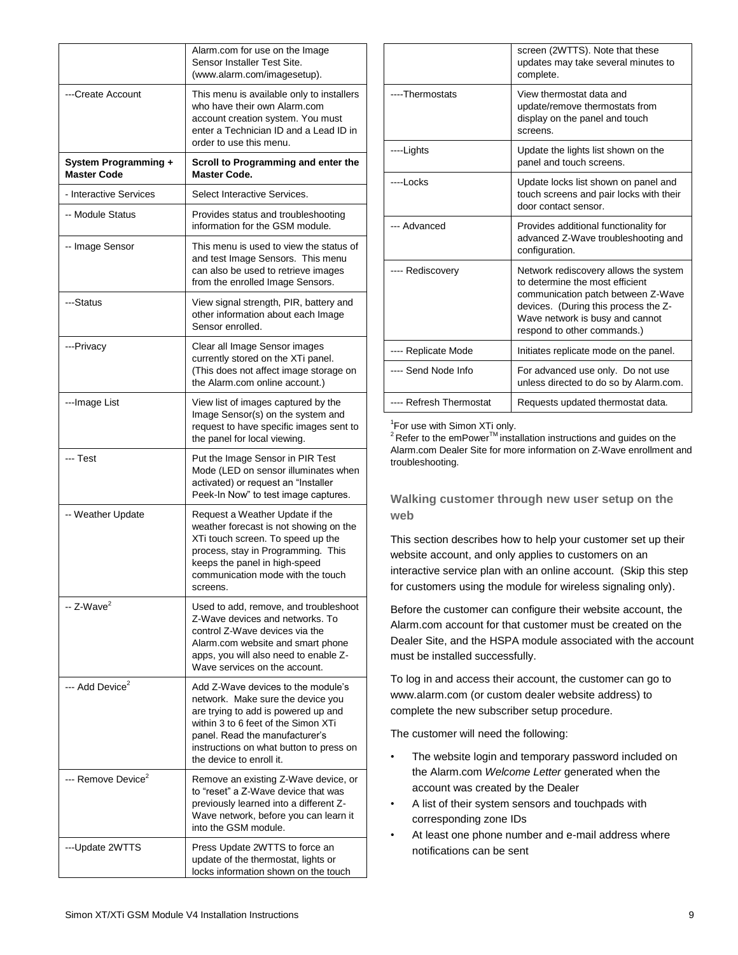|                                                   | Alarm.com for use on the Image<br>Sensor Installer Test Site.<br>(www.alarm.com/imagesetup).                                                                                                                                                                   |
|---------------------------------------------------|----------------------------------------------------------------------------------------------------------------------------------------------------------------------------------------------------------------------------------------------------------------|
| ---Create Account                                 | This menu is available only to installers<br>who have their own Alarm.com<br>account creation system. You must<br>enter a Technician ID and a Lead ID in<br>order to use this menu.                                                                            |
| <b>System Programming +</b><br><b>Master Code</b> | Scroll to Programming and enter the<br><b>Master Code.</b>                                                                                                                                                                                                     |
| - Interactive Services                            | Select Interactive Services.                                                                                                                                                                                                                                   |
| -- Module Status                                  | Provides status and troubleshooting<br>information for the GSM module.                                                                                                                                                                                         |
| -- Image Sensor                                   | This menu is used to view the status of<br>and test Image Sensors. This menu<br>can also be used to retrieve images<br>from the enrolled Image Sensors.                                                                                                        |
| ---Status                                         | View signal strength, PIR, battery and<br>other information about each Image<br>Sensor enrolled.                                                                                                                                                               |
| ---Privacy                                        | Clear all Image Sensor images<br>currently stored on the XTi panel.<br>(This does not affect image storage on<br>the Alarm.com online account.)                                                                                                                |
| ---Image List                                     | View list of images captured by the<br>Image Sensor(s) on the system and<br>request to have specific images sent to<br>the panel for local viewing.                                                                                                            |
| --- Test                                          | Put the Image Sensor in PIR Test<br>Mode (LED on sensor illuminates when<br>activated) or request an "Installer<br>Peek-In Now" to test image captures.                                                                                                        |
| -- Weather Update                                 | Request a Weather Update if the<br>weather forecast is not showing on the<br>XTi touch screen. To speed up the<br>process, stay in Programming. This<br>keeps the panel in high-speed<br>communication mode with the touch<br>screens.                         |
| $-$ Z-Wave <sup>2</sup>                           | Used to add, remove, and troubleshoot<br>Z-Wave devices and networks. To<br>control Z-Wave devices via the<br>Alarm.com website and smart phone<br>apps, you will also need to enable Z-<br>Wave services on the account.                                      |
| --- Add Device <sup>2</sup>                       | Add Z-Wave devices to the module's<br>network. Make sure the device you<br>are trying to add is powered up and<br>within 3 to 6 feet of the Simon XTi<br>panel. Read the manufacturer's<br>instructions on what button to press on<br>the device to enroll it. |
| --- Remove Device <sup>2</sup>                    | Remove an existing Z-Wave device, or<br>to "reset" a Z-Wave device that was<br>previously learned into a different Z-<br>Wave network, before you can learn it<br>into the GSM module.                                                                         |
| ---Update 2WTTS                                   | Press Update 2WTTS to force an<br>update of the thermostat, lights or<br>locks information shown on the touch                                                                                                                                                  |

|                         | screen (2WTTS). Note that these<br>updates may take several minutes to<br>complete.                                                                                                                                      |
|-------------------------|--------------------------------------------------------------------------------------------------------------------------------------------------------------------------------------------------------------------------|
| ----Thermostats         | View thermostat data and<br>update/remove thermostats from<br>display on the panel and touch<br>screens.                                                                                                                 |
| ----Lights              | Update the lights list shown on the<br>panel and touch screens.                                                                                                                                                          |
| ----I ocks              | Update locks list shown on panel and<br>touch screens and pair locks with their<br>door contact sensor.                                                                                                                  |
| --- Advanced            | Provides additional functionality for<br>advanced Z-Wave troubleshooting and<br>configuration.                                                                                                                           |
| ---- Rediscovery        | Network rediscovery allows the system<br>to determine the most efficient<br>communication patch between Z-Wave<br>devices. (During this process the Z-<br>Wave network is busy and cannot<br>respond to other commands.) |
| ---- Replicate Mode     | Initiates replicate mode on the panel.                                                                                                                                                                                   |
| ---- Send Node Info     | For advanced use only. Do not use<br>unless directed to do so by Alarm.com.                                                                                                                                              |
| ---- Refresh Thermostat | Requests updated thermostat data.                                                                                                                                                                                        |

<sup>1</sup>For use with Simon XTi only.

 $2$  Refer to the emPower<sup>TM</sup> installation instructions and guides on the Alarm.com Dealer Site for more information on Z-Wave enrollment and troubleshooting.

**Walking customer through new user setup on the web**

This section describes how to help your customer set up their website account, and only applies to customers on an interactive service plan with an online account. (Skip this step for customers using the module for wireless signaling only).

Before the customer can configure their website account, the Alarm.com account for that customer must be created on the Dealer Site, and the HSPA module associated with the account must be installed successfully.

To log in and access their account, the customer can go to www.alarm.com (or custom dealer website address) to complete the new subscriber setup procedure.

The customer will need the following:

- The website login and temporary password included on the Alarm.com *Welcome Letter* generated when the account was created by the Dealer
- A list of their system sensors and touchpads with corresponding zone IDs
- At least one phone number and e-mail address where notifications can be sent